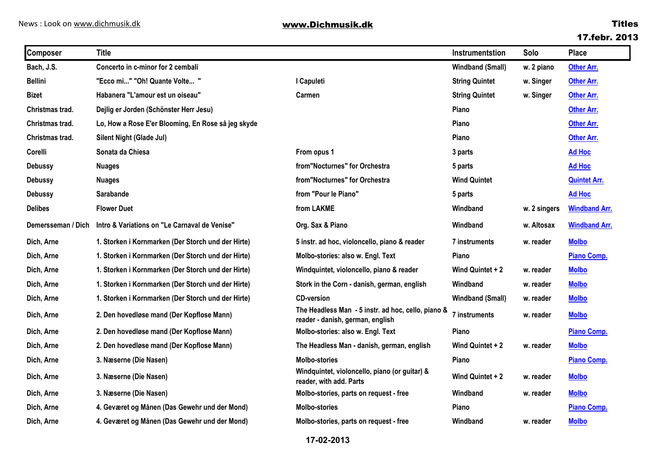### **17.febr. 2013**

| <b>Composer</b>    | <b>Title</b>                                       |                                                                                        | Instrumentstion         | Solo         | <b>Place</b>         |
|--------------------|----------------------------------------------------|----------------------------------------------------------------------------------------|-------------------------|--------------|----------------------|
| Bach, J.S.         | Concerto in c-minor for 2 cembali                  |                                                                                        | <b>Windband (Small)</b> | w. 2 piano   | <b>Other Arr.</b>    |
| <b>Bellini</b>     | "Ecco mi" "Oh! Quante Volte "                      | I Capuleti                                                                             | <b>String Quintet</b>   | w. Singer    | <b>Other Arr.</b>    |
| <b>Bizet</b>       | Habanera "L'amour est un oiseau"                   | Carmen                                                                                 | <b>String Quintet</b>   | w. Singer    | <b>Other Arr.</b>    |
| Christmas trad.    | Dejlig er Jorden (Schönster Herr Jesu)             |                                                                                        | Piano                   |              | <b>Other Arr.</b>    |
| Christmas trad.    | Lo, How a Rose E'er Blooming, En Rose så jeg skyde |                                                                                        | Piano                   |              | <b>Other Arr.</b>    |
| Christmas trad.    | Silent Night (Glade Jul)                           |                                                                                        | Piano                   |              | Other Arr.           |
| Corelli            | Sonata da Chiesa                                   | From opus 1                                                                            | 3 parts                 |              | <b>Ad Hoc</b>        |
| <b>Debussy</b>     | <b>Nuages</b>                                      | from"Nocturnes" for Orchestra                                                          | 5 parts                 |              | <b>Ad Hoc</b>        |
| <b>Debussy</b>     | <b>Nuages</b>                                      | from"Nocturnes" for Orchestra                                                          | <b>Wind Quintet</b>     |              | <b>Quintet Arr.</b>  |
| <b>Debussy</b>     | <b>Sarabande</b>                                   | from "Pour le Piano"                                                                   | 5 parts                 |              | <b>Ad Hoc</b>        |
| <b>Delibes</b>     | <b>Flower Duet</b>                                 | from LAKME                                                                             | Windband                | w. 2 singers | <b>Windband Arr.</b> |
| Demersseman / Dich | Intro & Variations on "Le Carnaval de Venise"      | Org. Sax & Piano                                                                       | Windband                | w. Altosax   | <b>Windband Arr.</b> |
| Dich, Arne         | 1. Storken i Kornmarken (Der Storch und der Hirte) | 5 instr. ad hoc, violoncello, piano & reader                                           | 7 instruments           | w. reader    | <b>Molbo</b>         |
| Dich, Arne         | 1. Storken i Kornmarken (Der Storch und der Hirte) | Molbo-stories: also w. Engl. Text                                                      | Piano                   |              | Piano Comp.          |
| Dich, Arne         | 1. Storken i Kornmarken (Der Storch und der Hirte) | Windquintet, violoncello, piano & reader                                               | Wind Quintet + 2        | w. reader    | <b>Molbo</b>         |
| Dich, Arne         | 1. Storken i Kornmarken (Der Storch und der Hirte) | Stork in the Corn - danish, german, english                                            | Windband                | w. reader    | <b>Molbo</b>         |
| Dich, Arne         | 1. Storken i Kornmarken (Der Storch und der Hirte) | <b>CD-version</b>                                                                      | <b>Windband (Small)</b> | w. reader    | <b>Molbo</b>         |
| Dich, Arne         | 2. Den hovedløse mand (Der Kopflose Mann)          | The Headless Man - 5 instr. ad hoc, cello, piano &<br>reader - danish, german, english | 7 instruments           | w. reader    | <b>Molbo</b>         |
| Dich, Arne         | 2. Den hovedløse mand (Der Kopflose Mann)          | Molbo-stories: also w. Engl. Text                                                      | Piano                   |              | Piano Comp.          |
| Dich, Arne         | 2. Den hovedløse mand (Der Kopflose Mann)          | The Headless Man - danish, german, english                                             | Wind Quintet + 2        | w. reader    | <b>Molbo</b>         |
| Dich, Arne         | 3. Næserne (Die Nasen)                             | <b>Molbo-stories</b>                                                                   | Piano                   |              | Piano Comp.          |
| Dich, Arne         | 3. Næserne (Die Nasen)                             | Windquintet, violoncello, piano (or guitar) &<br>reader, with add. Parts               | Wind Quintet + 2        | w. reader    | <b>Molbo</b>         |
| Dich, Arne         | 3. Næserne (Die Nasen)                             | Molbo-stories, parts on request - free                                                 | Windband                | w. reader    | <b>Molbo</b>         |
| Dich, Arne         | 4. Geværet og Månen (Das Gewehr und der Mond)      | <b>Molbo-stories</b>                                                                   | Piano                   |              | <b>Piano Comp.</b>   |
| Dich, Arne         | 4. Geværet og Månen (Das Gewehr und der Mond)      | Molbo-stories, parts on request - free                                                 | Windband                | w. reader    | <b>Molbo</b>         |

**17-02-2013**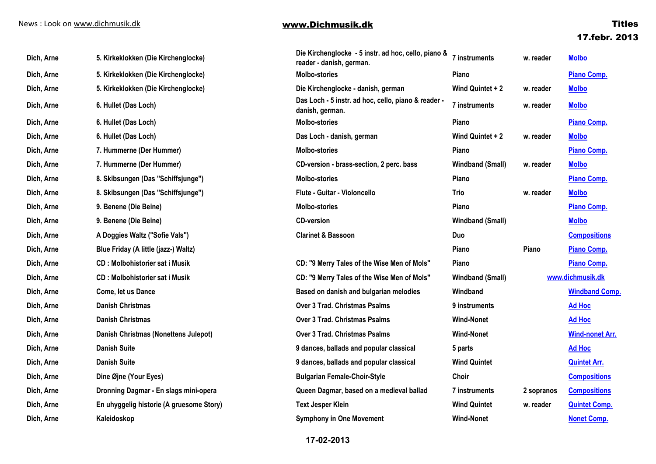| Dich, Arne | 5. Kirkeklokken (Die Kirchenglocke)      | Die Kirchenglocke - 5 instr. ad hoc, cello, piano &<br>reader - danish, german. | <b>7 instruments</b>    | w. reader  | <b>Molbo</b>           |
|------------|------------------------------------------|---------------------------------------------------------------------------------|-------------------------|------------|------------------------|
| Dich, Arne | 5. Kirkeklokken (Die Kirchenglocke)      | <b>Molbo-stories</b>                                                            | <b>Piano</b>            |            | Piano Comp.            |
| Dich, Arne | 5. Kirkeklokken (Die Kirchenglocke)      | Die Kirchenglocke - danish, german                                              | Wind Quintet + 2        | w. reader  | <b>Molbo</b>           |
| Dich, Arne | 6. Hullet (Das Loch)                     | Das Loch - 5 instr. ad hoc, cello, piano & reader -<br>danish, german.          | 7 instruments           | w. reader  | <b>Molbo</b>           |
| Dich, Arne | 6. Hullet (Das Loch)                     | <b>Molbo-stories</b>                                                            | Piano                   |            | <b>Piano Comp.</b>     |
| Dich, Arne | 6. Hullet (Das Loch)                     | Das Loch - danish, german                                                       | Wind Quintet + 2        | w. reader  | <b>Molbo</b>           |
| Dich, Arne | 7. Hummerne (Der Hummer)                 | <b>Molbo-stories</b>                                                            | Piano                   |            | <b>Piano Comp.</b>     |
| Dich, Arne | 7. Hummerne (Der Hummer)                 | CD-version - brass-section, 2 perc. bass                                        | <b>Windband (Small)</b> | w. reader  | <b>Molbo</b>           |
| Dich, Arne | 8. Skibsungen (Das "Schiffsjunge")       | <b>Molbo-stories</b>                                                            | Piano                   |            | <b>Piano Comp.</b>     |
| Dich, Arne | 8. Skibsungen (Das "Schiffsjunge")       | Flute - Guitar - Violoncello                                                    | Trio                    | w. reader  | <b>Molbo</b>           |
| Dich, Arne | 9. Benene (Die Beine)                    | <b>Molbo-stories</b>                                                            | Piano                   |            | <b>Piano Comp.</b>     |
| Dich, Arne | 9. Benene (Die Beine)                    | <b>CD-version</b>                                                               | <b>Windband (Small)</b> |            | <b>Molbo</b>           |
| Dich, Arne | A Doggies Waltz ("Sofie Vals")           | <b>Clarinet &amp; Bassoon</b>                                                   | Duo                     |            | <b>Compositions</b>    |
| Dich, Arne | Blue Friday (A little (jazz-) Waltz)     |                                                                                 | Piano                   | Piano      | <b>Piano Comp.</b>     |
| Dich, Arne | <b>CD: Molbohistorier sat i Musik</b>    | CD: "9 Merry Tales of the Wise Men of Mols"                                     | Piano                   |            | <b>Piano Comp.</b>     |
| Dich, Arne | <b>CD</b> : Molbohistorier sat i Musik   | CD: "9 Merry Tales of the Wise Men of Mols"                                     | <b>Windband (Small)</b> |            | www.dichmusik.dk       |
| Dich, Arne | Come, let us Dance                       | Based on danish and bulgarian melodies                                          | Windband                |            | <b>Windband Comp.</b>  |
| Dich, Arne | <b>Danish Christmas</b>                  | <b>Over 3 Trad. Christmas Psalms</b>                                            | 9 instruments           |            | <b>Ad Hoc</b>          |
| Dich, Arne | <b>Danish Christmas</b>                  | <b>Over 3 Trad. Christmas Psalms</b>                                            | <b>Wind-Nonet</b>       |            | <b>Ad Hoc</b>          |
| Dich, Arne | Danish Christmas (Nonettens Julepot)     | Over 3 Trad. Christmas Psalms                                                   | <b>Wind-Nonet</b>       |            | <b>Wind-nonet Arr.</b> |
| Dich, Arne | <b>Danish Suite</b>                      | 9 dances, ballads and popular classical                                         | 5 parts                 |            | <b>Ad Hoc</b>          |
| Dich, Arne | <b>Danish Suite</b>                      | 9 dances, ballads and popular classical                                         | <b>Wind Quintet</b>     |            | <b>Quintet Arr.</b>    |
| Dich, Arne | Dine Øjne (Your Eyes)                    | <b>Bulgarian Female-Choir-Style</b>                                             | Choir                   |            | <b>Compositions</b>    |
| Dich, Arne | Dronning Dagmar - En slags mini-opera    | Queen Dagmar, based on a medieval ballad                                        | 7 instruments           | 2 sopranos | <b>Compositions</b>    |
| Dich, Arne | En uhyggelig historie (A gruesome Story) | <b>Text Jesper Klein</b>                                                        | <b>Wind Quintet</b>     | w. reader  | <b>Quintet Comp.</b>   |
| Dich, Arne | Kaleidoskop                              | <b>Symphony in One Movement</b>                                                 | <b>Wind-Nonet</b>       |            | <b>Nonet Comp.</b>     |

**17-02-2013**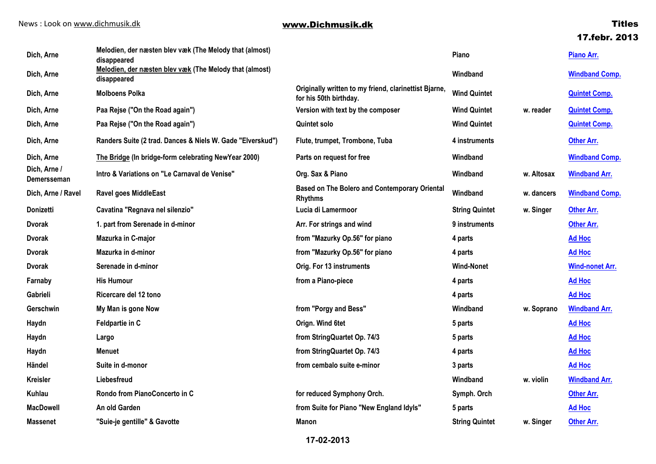# **17.febr. 2013**

| Dich, Arne                  | Melodien, der næsten blev væk (The Melody that (almost)<br>disappeared |                                                                                 | Piano                 |            | Piano Arr.             |
|-----------------------------|------------------------------------------------------------------------|---------------------------------------------------------------------------------|-----------------------|------------|------------------------|
| Dich, Arne                  | Melodien, der næsten blev væk (The Melody that (almost)<br>disappeared |                                                                                 | Windband              |            | <b>Windband Comp.</b>  |
| Dich, Arne                  | <b>Molboens Polka</b>                                                  | Originally written to my friend, clarinettist Bjarne,<br>for his 50th birthday. | <b>Wind Quintet</b>   |            | <b>Quintet Comp.</b>   |
| Dich, Arne                  | Paa Rejse ("On the Road again")                                        | Version with text by the composer                                               | <b>Wind Quintet</b>   | w. reader  | <b>Quintet Comp.</b>   |
| Dich, Arne                  | Paa Rejse ("On the Road again")                                        | Quintet solo                                                                    | <b>Wind Quintet</b>   |            | <b>Quintet Comp.</b>   |
| Dich, Arne                  | Randers Suite (2 trad. Dances & Niels W. Gade "Elverskud")             | Flute, trumpet, Trombone, Tuba                                                  | 4 instruments         |            | <b>Other Arr.</b>      |
| Dich, Arne                  | The Bridge (In bridge-form celebrating NewYear 2000)                   | Parts on request for free                                                       | Windband              |            | <b>Windband Comp.</b>  |
| Dich, Arne /<br>Demersseman | Intro & Variations on "Le Carnaval de Venise"                          | Org. Sax & Piano                                                                | Windband              | w. Altosax | <b>Windband Arr.</b>   |
| Dich, Arne / Ravel          | <b>Ravel goes MiddleEast</b>                                           | <b>Based on The Bolero and Contemporary Oriental</b><br><b>Rhythms</b>          | Windband              | w. dancers | <b>Windband Comp.</b>  |
| Donizetti                   | Cavatina "Regnava nel silenzio"                                        | Lucia di Lamermoor                                                              | <b>String Quintet</b> | w. Singer  | <b>Other Arr.</b>      |
| <b>Dvorak</b>               | 1. part from Serenade in d-minor                                       | Arr. For strings and wind                                                       | 9 instruments         |            | <b>Other Arr.</b>      |
| <b>Dvorak</b>               | Mazurka in C-major                                                     | from "Mazurky Op.56" for piano                                                  | 4 parts               |            | <b>Ad Hoc</b>          |
| <b>Dvorak</b>               | Mazurka in d-minor                                                     | from "Mazurky Op.56" for piano                                                  | 4 parts               |            | <b>Ad Hoc</b>          |
| <b>Dvorak</b>               | Serenade in d-minor                                                    | Orig. For 13 instruments                                                        | <b>Wind-Nonet</b>     |            | <b>Wind-nonet Arr.</b> |
| Farnaby                     | <b>His Humour</b>                                                      | from a Piano-piece                                                              | 4 parts               |            | <b>Ad Hoc</b>          |
| Gabrieli                    | Ricercare del 12 tono                                                  |                                                                                 | 4 parts               |            | <b>Ad Hoc</b>          |
| Gerschwin                   | My Man is gone Now                                                     | from "Porgy and Bess"                                                           | Windband              | w. Soprano | <b>Windband Arr.</b>   |
| Haydn                       | Feldpartie in C                                                        | Orign. Wind 6tet                                                                | 5 parts               |            | <b>Ad Hoc</b>          |
| Haydn                       | Largo                                                                  | from StringQuartet Op. 74/3                                                     | 5 parts               |            | <b>Ad Hoc</b>          |
| Haydn                       | <b>Menuet</b>                                                          | from StringQuartet Op. 74/3                                                     | 4 parts               |            | <b>Ad Hoc</b>          |
| Händel                      | Suite in d-monor                                                       | from cembalo suite e-minor                                                      | 3 parts               |            | <b>Ad Hoc</b>          |
| <b>Kreisler</b>             | Liebesfreud                                                            |                                                                                 | Windband              | w. violin  | <b>Windband Arr.</b>   |
| Kuhlau                      | Rondo from PianoConcerto in C                                          | for reduced Symphony Orch.                                                      | Symph. Orch           |            | <b>Other Arr.</b>      |
| <b>MacDowell</b>            | An old Garden                                                          | from Suite for Piano "New England Idyls"                                        | 5 parts               |            | <b>Ad Hoc</b>          |
| <b>Massenet</b>             | "Suie-je gentille" & Gavotte                                           | Manon                                                                           | <b>String Quintet</b> | w. Singer  | <b>Other Arr.</b>      |
|                             |                                                                        |                                                                                 |                       |            |                        |

### **17-02-2013**